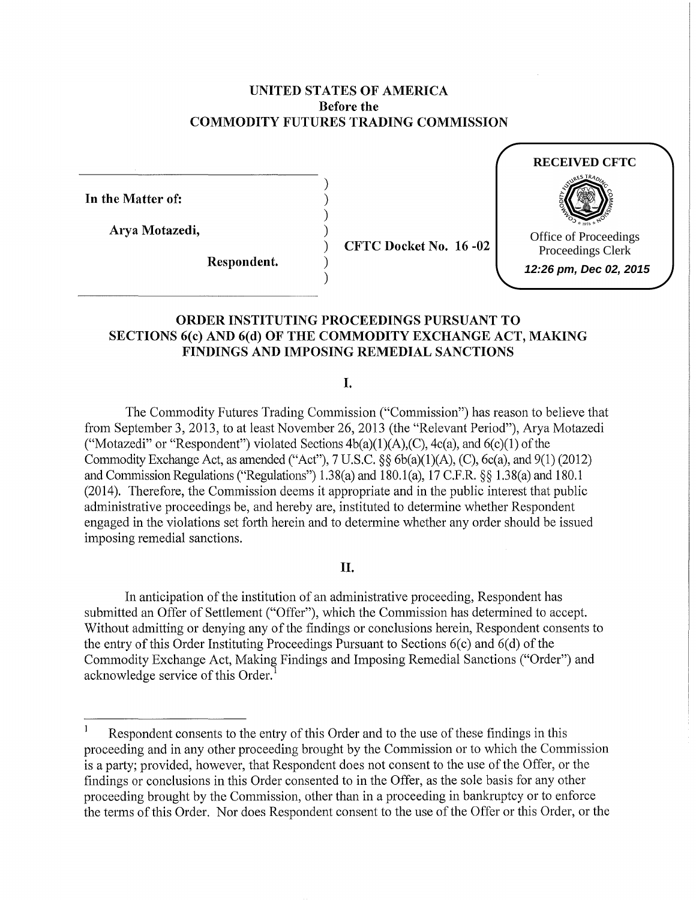### **UNITED STATES OF AMERICA Before the COMMODITY FUTURES TRADING COMMISSION**

) ) ) ) ) ) )

**In the Matter of:** 

**Arya Motazedi,** 

**Respondent.** 

**CFTC Docket** No. **16 -02**



## **ORDER INSTITUTING PROCEEDINGS PURSUANT TO SECTIONS 6(c) AND 6(d) OF THE COMMODITY EXCHANGE ACT, MAKING FINDINGS AND IMPOSING REMEDIAL SANCTIONS**

I.

The Commodity Futures Trading Commission ("Commission") has reason to believe that from September 3, 2013, to at least November 26, 2013 (the "Relevant Period"), Arya Motazedi ("Motazedi" or "Respondent") violated Sections  $4b(a)(1)(A),(C)$ ,  $4c(a)$ , and  $6(c)(1)$  of the Commodity Exchange Act, as amended ("Act"), 7 U.S.C. §§ 6b(a)(l)(A), (C), 6c(a), and 9(1) (2012) and Commission Regulations ("Regulations") 1.38(a) and 180.l(a), 17 C.F.R. §§ 1.38(a) and 180.1 (2014). Therefore, the Commission deems it appropriate and in the public interest that public administrative proceedings be, and hereby are, instituted to determine whether Respondent engaged in the violations set forth herein and to determine whether any order should be issued imposing remedial sanctions.

### **II.**

In anticipation of the institution of an administrative proceeding, Respondent has submitted an Offer of Settlement ("Offer"), which the Commission has determined to accept. Without admitting or denying any of the findings or conclusions herein, Respondent consents to the entry of this Order Instituting Proceedings Pursuant to Sections  $6(c)$  and  $6(d)$  of the Commodity Exchange Act, Making Findings and Imposing Remedial Sanctions ("Order") and acknowledge service of this Order. <sup>1</sup>

 $\mathbf{1}$ Respondent consents to the entry of this Order and to the use of these findings in this proceeding and in any other proceeding brought by the Commission or to which the Commission is a party; provided, however, that Respondent does not consent to the use of the Offer, or the findings or conclusions in this Order consented to in the Offer, as the sole basis for any other proceeding brought by the Commission, other than in a proceeding in bankruptcy or to enforce the terms of this Order. Nor does Respondent consent to the use of the Offer or this Order, or the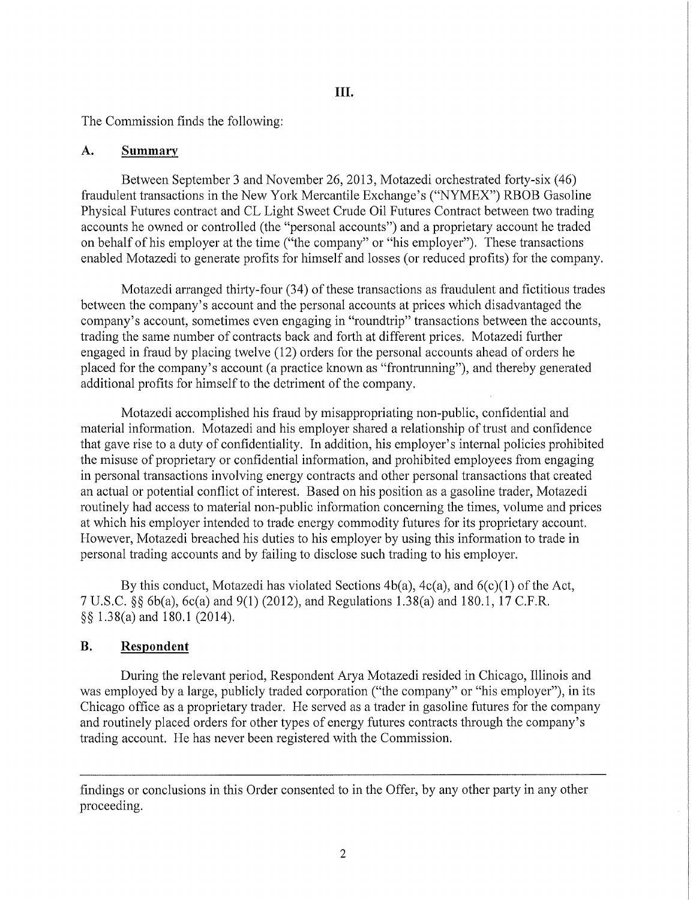## **III.**

The Commission finds the following:

## **A. Summary**

Between September 3 and November 26, 2013, Motazedi orchestrated forty-six (46) fraudulent transactions in the New York Mercantile Exchange's ("NYMEX") RBOB Gasoline Physical Futures contract and CL Light Sweet Crude Oil Futures Contract between two trading accounts he owned or controlled (the "personal accounts") and a proprietary account he traded on behalf of his employer at the time ("the company" or "his employer"). These transactions enabled Motazedi to generate profits for himself and losses (or reduced profits) for the company.

Motazedi arranged thirty-four (34) of these transactions as fraudulent and fictitious trades between the company's account and the personal accounts at prices which disadvantaged the company's account, sometimes even engaging in "roundtrip" transactions between the accounts, trading the same number of contracts back and forth at different prices. Motazedi further engaged in fraud by placing twelve (12) orders for the personal accounts ahead of orders he placed for the company's account (a practice known as "frontrunning"), and thereby generated additional profits for himself to the detriment of the company.

Motazedi accomplished his fraud by misappropriating non-public, confidential and material information. Motazedi and his employer shared a relationship of trust and confidence that gave rise to a duty of confidentiality. In addition, his employer's internal policies prohibited the misuse of proprietary or confidential information, and prohibited employees from engaging in personal transactions involving energy contracts and other personal transactions that created an actual or potential conflict of interest. Based on his position as a gasoline trader, Motazedi routinely had access to material non-public information concerning the times, volume and prices at which his employer intended to trade energy commodity futures for its proprietary account. However, Motazedi breached his duties to his employer by using this information to trade in personal trading accounts and by failing to disclose such trading to his employer.

By this conduct, Motazedi has violated Sections  $4b(a)$ ,  $4c(a)$ , and  $6(c)(1)$  of the Act, 7 U.S.C. §§ 6b(a), 6c(a) and 9(1) (2012), and Regulations l.38(a) and 180.1, 17 C.F.R. §§ l.38(a) and 180.1 (2014).

# **B. Respondent**

During the relevant period, Respondent Arya Motazedi resided in Chicago, Illinois and was employed by a large, publicly traded corporation ("the company" or "his employer"), in its Chicago office as a proprietary trader. He served as a trader in gasoline futures for the company and routinely placed orders for other types of energy futures contracts through the company's trading account. He has never been registered with the Commission.

findings or conclusions in this Order consented to in the Offer, by any other party in any other proceeding.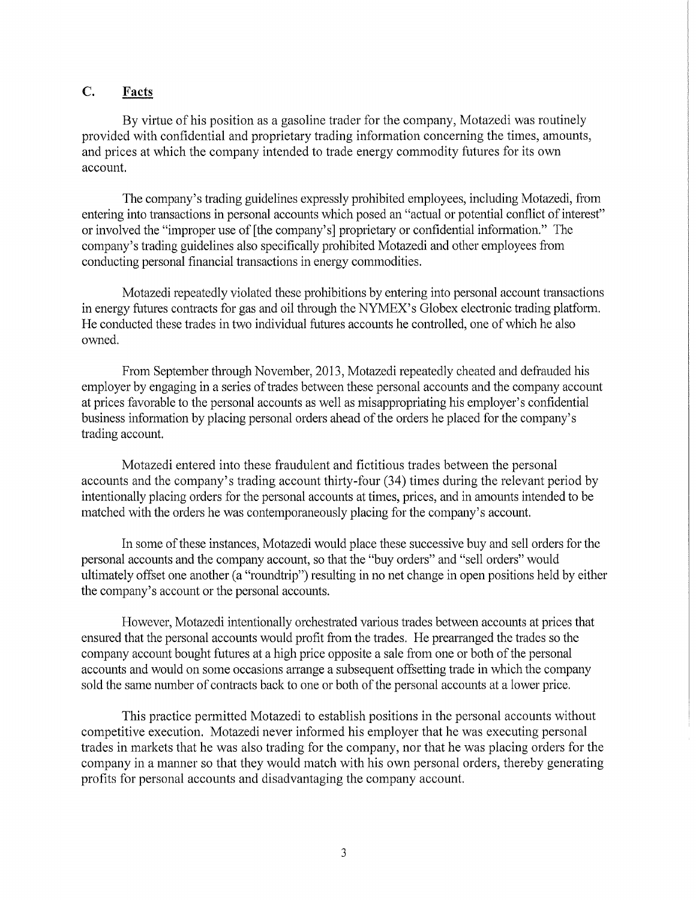## C. **Facts**

By virtue of his position as a gasoline trader for the company, Motazedi was routinely provided with confidential and proprietary trading information concerning the times, amounts, and prices at which the company intended to trade energy commodity futures for its own account.

The company's trading guidelines expressly prohibited employees, including Motazedi, from entering into transactions in personal accounts which posed an "actual or potential conflict of interest" or involved the "improper use of [the company's] proprietary or confidential information." The company's trading guidelines also specifically prohibited Motazedi and other employees from conducting personal financial transactions in energy commodities.

Motazedi repeatedly violated these prohibitions by entering into personal account transactions in energy futures contracts for gas and oil through the NYMEX's Globex electronic trading platform. He conducted these trades in two individual futures accounts he controlled, one of which he also owned.

From September through November, 2013, Motazedi repeatedly cheated and defrauded his employer by engaging in a series of trades between these personal accounts and the company account at prices favorable to the personal accounts as well as misappropriating his employer's confidential business information by placing personal orders ahead of the orders he placed for the company's trading account.

Motazedi entered into these fraudulent and fictitious trades between the personal accounts and the company's trading account thirty-four (34) times during the relevant period by intentionally placing orders for the personal accounts at times, prices, and in amounts intended to be matched with the orders he was contemporaneously placing for the company's account.

In some of these instances, Motazedi would place these successive buy and sell orders for the personal accounts and the company account, so that the "buy orders" and "sell orders" would ultimately offset one another (a "roundtrip") resulting in no net change in open positions held by either the company's account or the personal accounts.

However, Motazedi intentionally orchestrated various trades between accounts at prices that ensmed that the personal accounts would profit from the trades. He prearranged the trades so the company account bought futures at a high price opposite a sale from one or both of the personal accounts and would on some occasions arrange a subsequent offsetting trade in which the company sold the same number of contracts back to one or both of the personal accounts at a lower price.

This practice permitted Motazedi to establish positions in the personal accounts without competitive execution. Motazedi never informed his employer that he was executing personal trades in markets that he was also trading for the company, nor that he was placing orders for the company in a manner so that they would match with his own personal orders, thereby generating profits for personal accounts and disadvantaging the company account.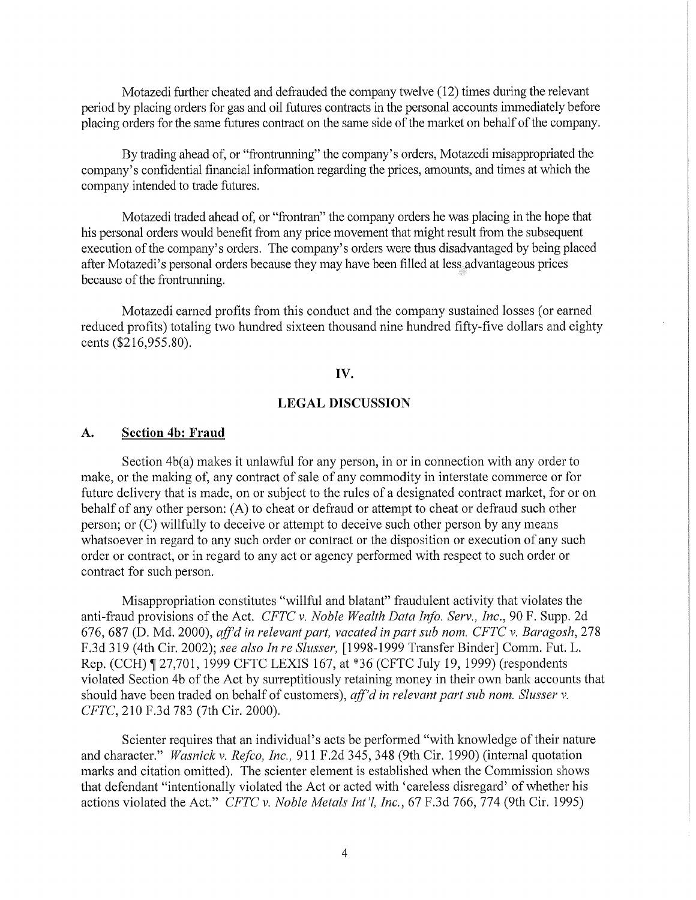Motazedi further cheated and defrauded the company twelve (12) times during the relevant period by placing orders for gas and oil futures contracts in the personal accounts immediately before placing orders for the same futures contract on the same side of the market on behalf of the company.

By trading ahead of, or "frontrunning" the company's orders, Motazedi misappropriated the company's confidential financial information regarding the prices, amounts, and times at which the company intended to trade futures.

Motazedi traded ahead of, or "frontran" the company orders he was placing in the hope that his personal orders would benefit from any price movement that might result from the subsequent execution of the company's orders. The company's orders were thus disadvantaged by being placed after Motazedi's personal orders because they may have been filled at less advantageous prices because of the frontrunning.

Motazedi earned profits from this conduct and the company sustained losses (or earned reduced profits) totaling two hundred sixteen thousand nine hundred fifty-five dollars and eighty cents (\$216,955.80).

### **IV.**

#### **LEGAL** DISCUSSION

### **A. Section 4b: Fraud**

Section 4b(a) makes it unlawful for any person, in or in connection with any order to make, or the making of, any contract of sale of any commodity in interstate commerce or for future delivery that is made, on or subject to the rules of a designated contract market, for or on behalf of any other person: (A) to cheat or defraud or attempt to cheat or defraud such other person; or (C) willfully to deceive or attempt to deceive such other person by any means whatsoever in regard to any such order or contract or the disposition or execution of any such order or contract, or in regard to any act or agency performed with respect to such order or contract for such person.

Misappropriation constitutes "willful and blatant" fraudulent activity that violates the anti-fraud provisions of the Act. *CFTC v. Noble Wealth Data Info. Serv., Inc.,* 90 F. Supp. 2d 676, 687 (D. Md. 2000), *affdin relevant part, vacated in part sub nom. CFTC v. Baragosh,* 278 F.3d 319 (4th Cir. 2002); *see also In re Slusser,* [1998-1999 Transfer Binder] Comm. Fut. L. Rep. (CCH) 127,701, 1999 CFTC LEXIS 167, at \*36 (CFTC July 19, 1999) (respondents violated Section 4b of the Act by surreptitiously retaining money in their own bank accounts that should have been traded on behalf of customers), *aff'd in relevant part sub nom. Slusser v. CFTC,* 210 F.3d 783 (7th Cir. 2000).

Scienter requires that an individual's acts be performed "with knowledge of their nature and character." *Wasnick v. Refco, Inc.,* 911 F.2d 345, 348 (9th Cir. 1990) (internal quotation marks and citation omitted). The scienter element is established when the Commission shows that defendant "intentionally violated the Act or acted with 'careless disregard' of whether his actions violated the Act." *CFTC v. Noble Metals Int'!, Inc.,* 67 F.3d 766, 774 (9th Cir. 1995)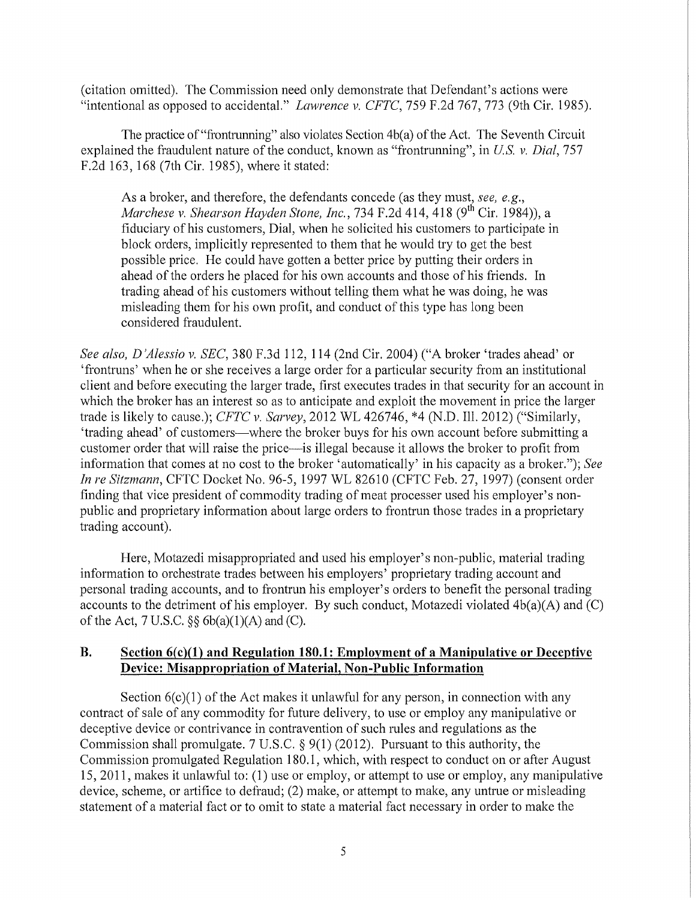(citation omitted). The Commission need only demonstrate that Defendant's actions were "intentional as opposed to accidental." *Lawrence v. CFTC,* 759 F.2d 767, 773 (9th Cir. 1985).

The practice of "frontrunning" also violates Section 4b(a) of the Act. The Seventh Circuit explained the fraudulent nature of the conduct, known as "frontrunning", in *US. v. Dial,* 757 F.2d 163, 168 (7th Cir. 1985), where it stated:

As a broker, and therefore, the defendants concede (as they must, *see, e.g., Marchese v. Shearson Hayden Stone, Inc., 734 F.2d 414, 418 (9<sup>th</sup> Cir. 1984)), a* fiduciary of his customers, Dial, when he solicited his customers to participate in block orders, implicitly represented to them that he would try to get the best possible price. He could have gotten a better price by putting their orders in ahead of the orders he placed for his own accounts and those of his friends. In trading ahead of his customers without telling them what he was doing, he was misleading them for his own profit, and conduct of this type has long been considered fraudulent.

*See also, D 'Alessio v. SEC,* 380 F.3d 112, 114 (2nd Cir. 2004) ("A broker 'trades ahead' or 'frontruns' when he or she receives a large order for a particular security from an institutional client and before executing the larger trade, first executes trades in that security for an account in which the broker has an interest so as to anticipate and exploit the movement in price the larger trade is likely to cause.); *CFTC v. Sarvey,* 2012 WL 426746, \*4 (N.D. Ill. 2012) ("Similarly, 'trading ahead' of customers-where the broker buys for his own account before submitting a customer order that will raise the price-is illegal because it allows the broker to profit from information that comes at no cost to the broker 'automatically' in his capacity as a broker."); *See In re Sitzmann,* CFTC Docket No. 96-5, 1997 WL 82610 (CFTC Feb. 27, 1997) (consent order finding that vice president of commodity trading of meat processer used his employer's nonpublic and proprietary information about large orders to frontrun those trades in a proprietary trading account).

Here, Motazedi misappropriated and used his employer's non-public, material trading information to orchestrate trades between his employers' proprietary trading account and personal trading accounts, and to frontrun his employer's orders to benefit the personal trading accounts to the detriment of his employer. By such conduct, Motazedi violated 4b(a)(A) and (C) of the Act,  $7 U.S.C.$   $\&$  6b(a)(1)(A) and (C).

## **B. Section 6(c)(l) and Regulation 180.1: Employment of a Manipulative or Deceptive Device: Misappropriation of Material, Non-Public Information**

Section  $6(c)(1)$  of the Act makes it unlawful for any person, in connection with any contract of sale of any commodity for future delivery, to use or employ any manipulative or deceptive device or contrivance in contravention of such rules and regulations as the Commission shall promulgate. 7 U.S.C. § 9(1) (2012). Pursuant to this authority, the Commission promulgated Regulation 180.1, which, with respect to conduct on or after August 15, 2011, makes it unlawful to: (1) use or employ, or attempt to use or employ, any manipulative device, scheme, or artifice to defraud; (2) make, or attempt to make, any untrue or misleading statement of a material fact or to omit to state a material fact necessary in order to make the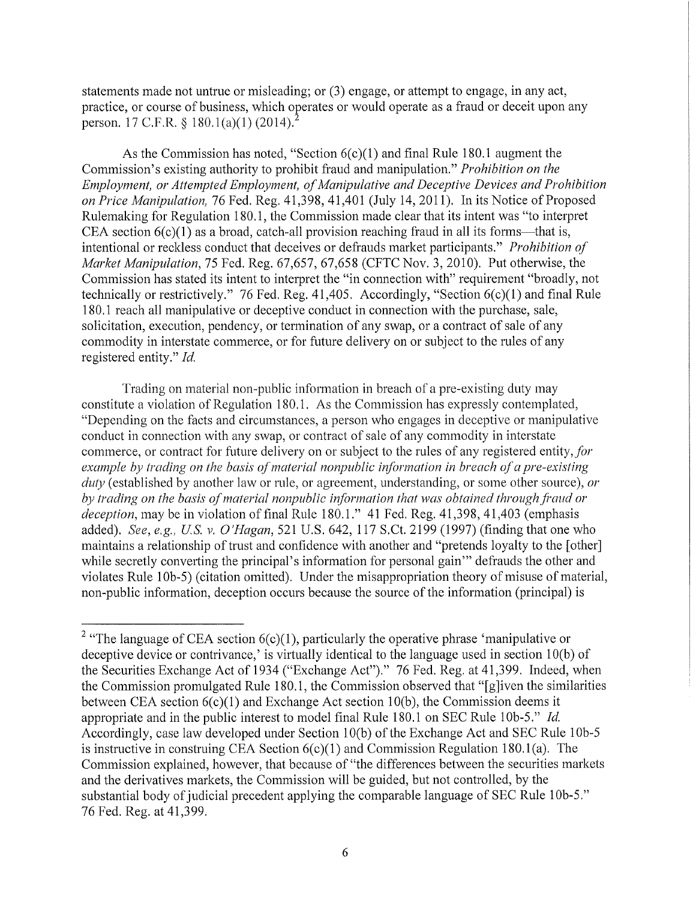statements made not untrue or misleading; or (3) engage, or attempt to engage, in any act, practice, or course of business, which operates or would operate as a fraud or deceit upon any person. 17 C.F.R. § 180.1(a)(1) (2014).<sup>2</sup>

As the Commission has noted, "Section  $6(c)(1)$  and final Rule 180.1 augment the Commission's existing authority to prohibit fraud and manipulation." *Prohibition on the Employment, or Attempted Employment, of Manipulative and Deceptive Devices and Prohibition on Price Manipulation,* 76 Fed. Reg. 41,398, 41,401 (July 14, 2011). In its Notice of Proposed Rulemaking for Regulation 180. 1, the Commission made clear that its intent was "to interpret CEA section  $6(c)(1)$  as a broad, catch-all provision reaching fraud in all its forms—that is, intentional or reckless conduct that deceives or defrauds market participants." *Prohibition of Market Manipulation,* 75 Fed. Reg. 67,657, 67,658 (CFTC Nov. 3, 2010). Put otherwise, the Commission has stated its intent to interpret the "in connection with" requirement "broadly, not technically or restrictively." 76 Fed. Reg. 41,405. Accordingly, "Section 6(c)(l) and final Rule 180. 1 reach all manipulative or deceptive conduct in connection with the purchase, sale, solicitation, execution, pendency, or termination of any swap, or a contract of sale of any commodity in interstate commerce, or for future delivery on or subject to the rules of any registered entity." *Id.* 

Trading on material non-public information in breach of a pre-existing duty may constitute a violation of Regulation 180.1. As the Commission has expressly contemplated, "Depending on the facts and circumstances, a person who engages in deceptive or manipulative conduct in connection with any swap, or contract of sale of any commodity in interstate commerce, or contract for future delivery on or subject to the rules of any registered entity, for *example by trading on the basis of material nonpublic information in breach of a pre-existing duty* (established by another law or rule, or agreement, understanding, or some other source), *01·*  by trading on the basis of material nonpublic information that was obtained through fraud or *deception,* may be in violation of final Rule 180.1." 41 Fed. Reg. 41,398, 41,403 (emphasis added). *See, e.g., US v. O'Hagan,* 521 U.S. 642, 117 S.Ct. 2199 (1997) (finding that one who maintains a relationship of trust and confidence with another and "pretends loyalty to the [other] while secretly converting the principal's information for personal gain" defrauds the other and violates Rule 10b-5) (citation omitted). Under the misappropriation theory of misuse of material, non-public information, deception occurs because the source of the information (principal) is

<sup>&</sup>lt;sup>2</sup> "The language of CEA section  $6(c)(1)$ , particularly the operative phrase 'manipulative or deceptive device or contrivance,' is virtually identical to the language used in section  $10(b)$  of the Securities Exchange Act of 1934 ("Exchange Act")." 76 Fed. Reg. at 41,399. Indeed, when the Commission promulgated Rule 180.1, the Commission observed that "[g]iven the similarities between CEA section  $6(c)(1)$  and Exchange Act section 10(b), the Commission deems it appropriate and in the public interest to model final Rule 180.1 on SEC Rule lOb-5." *Id.*  Accordingly, case law developed under Section lO(b) of the Exchange Act and SEC Rule lOb-5 is instructive in construing CEA Section  $6(c)(1)$  and Commission Regulation 180.1(a). The Commission explained, however, that because of "the differences between the securities markets and the derivatives markets, the Commission will be guided, but not controlled, by the substantial body of judicial precedent applying the comparable language of SEC Rule 10b-5." 76 Fed. Reg. at 41,399.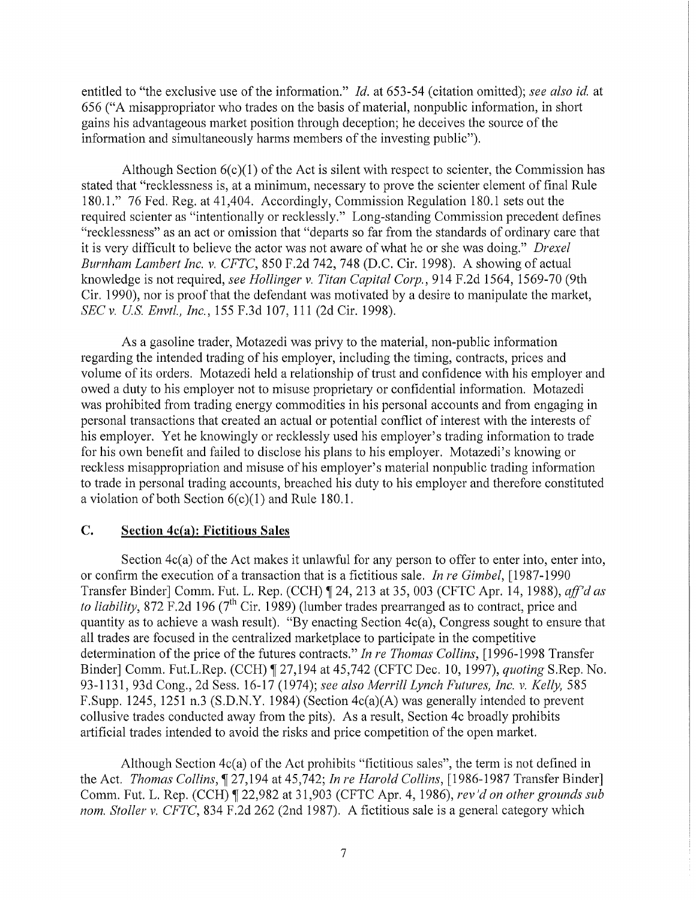entitled to "the exclusive use of the information." *Id.* at 653-54 (citation omitted); *see also id.* at 656 ("A misappropriator who trades on the basis of material, nonpublic information, in short gains his advantageous market position through deception; he deceives the source of the information and simultaneously harms members of the investing public").

Although Section  $6(c)(1)$  of the Act is silent with respect to scienter, the Commission has stated that "recklessness is, at a minimum, necessary to prove the scienter element of final Rule 180.1." 76 Fed. Reg. at 41,404. Accordingly, Commission Regulation 180.1 sets out the required scienter as "intentionally or recklessly." Long-standing Commission precedent defines "recklessness" as an act or omission that "departs so far from the standards of ordinary care that it is very difficult to believe the actor was not aware of what he or she was doing." *Drexel Burnham Lambert Inc. v. CFTC,* 850 F.2d 742, 748 (D.C. Cir. 1998). A showing of actual knowledge is not required, *see Hollinger v. Titan Capital Corp.,* 914 F .2d 1564, 1569-70 (9th Cir. 1990), nor is proof that the defendant was motivated by a desire to manipulate the market, *SEC v. US. Envtl., Inc.,* 155 F.3d 107, 111 (2d Cir. 1998).

As a gasoline trader, Motazedi was privy to the material, non-public information regarding the intended trading of his employer, including the timing, contracts, prices and volume of its orders. Motazedi held a relationship of trust and confidence with his employer and owed a duty to his employer not to misuse proprietary or confidential information. Motazedi was prohibited from trading energy commodities in his personal accounts and from engaging in personal transactions that created an actual or potential conflict of interest with the interests of his employer. Yet he knowingly or recklessly used his employer's trading information to trade for his own benefit and failed to disclose his plans to his employer. Motazedi's knowing or reckless misappropriation and misuse of his employer's material nonpublic trading information to trade in personal trading accounts, breached his duty to his employer and therefore constituted a violation of both Section  $6(c)(1)$  and Rule 180.1.

### **C. Section 4c(a): Fictitious Sales**

Section 4c(a) of the Act makes it unlawful for any person to offer to enter into, enter into, or confirm the execution of a transaction that is a fictitious sale. *In re Gimbel,* [1987-1990 Transfer Binder] Comm. Fut. L. Rep. (CCH) ¶ 24, 213 at 35, 003 (CFTC Apr. 14, 1988), *aff'd as to liability*, 872 F.2d 196 (7<sup>th</sup> Cir. 1989) (lumber trades prearranged as to contract, price and quantity as to achieve a wash result). "By enacting Section 4c(a), Congress sought to ensure that all trades are focused in the centralized marketplace to participate in the competitive determination of the price of the futures contracts." *In re Thomas Collins,* [1996-1998 Transfer Binder] Comm. Fut.L.Rep. (CCH) 1 27,194 at 45,742 (CFTC Dec. 10, 1997), *quoting* S.Rep. No. 93-1131, 93d Cong., 2d Sess. 16-17 (1974); *see also Merrill Lynch Futures, Inc. v. Kelly,* 585 F.Supp. 1245, 1251 n.3 (S.D.N.Y. 1984) (Section 4c(a)(A) was generally intended to prevent collusive trades conducted away from the pits). As a result, Section 4c broadly prohibits artificial trades intended to avoid the risks and price competition of the open market.

Although Section 4c(a) of the Act prohibits "fictitious sales", the term is not defined in the Act. *Thomas Collins,* if 27,194 at 45,742; *In re Harold Collins,* [1986-1987 Transfer Binder] Comm. Fut. L. Rep. (CCH) ¶ 22,982 at 31,903 (CFTC Apr. 4, 1986), *rev'd on other grounds sub nom. Stoller v. CFTC,* 834 F.2d 262 (2nd 1987). A fictitious sale is a general category which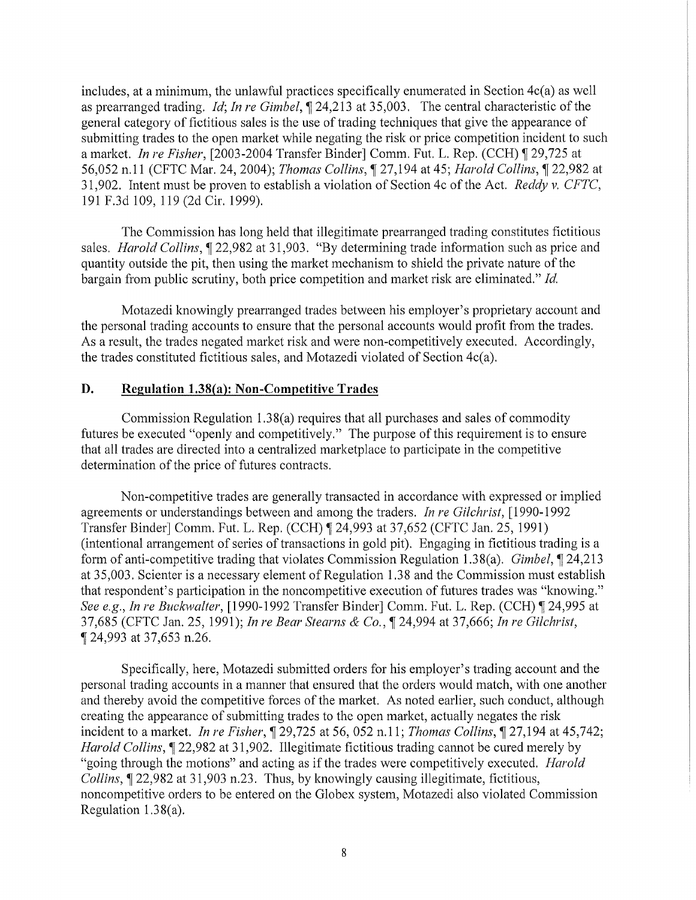includes, at a minimum, the unlawful practices specifically enumerated in Section 4c(a) as well as prearranged trading. *Id; In re Gimbel,* 124,213 at 35,003. The central characteristic of the general category of fictitious sales is the use of trading techniques that give the appearance of submitting trades to the open market while negating the risk or price competition incident to such a market. *In re Fisher*, [2003-2004 Transfer Binder] Comm. Fut. L. Rep. (CCH) 1 29,725 at 56,052 n.11 (CFTC Mar. 24, 2004); *Thomas Collins,* 127,194 at 45; *Harold Collins,* 122,982 at 31,902. Intent must be proven to establish a violation of Section 4c of the Act. *Reddy v. CFTC,*  191F.3d109, 119 (2d Cir. 1999).

The Commission has long held that illegitimate prearranged trading constitutes fictitious sales. *Harold Collins*,  $\llbracket 22,982$  at 31,903. "By determining trade information such as price and quantity outside the pit, then using the market mechanism to shield the private nature of the bargain from public scrutiny, both price competition and market risk are eliminated." *Id.* 

Motazedi knowingly prearranged trades between his employer's proprietary account and the personal trading accounts to ensure that the personal accounts would profit from the trades. As a result, the trades negated market risk and were non-competitively executed. Accordingly, the trades constituted fictitious sales, and Motazedi violated of Section 4c(a).

## **D. Regulation 1.38(a): Non-Competitive Trades**

Commission Regulation 1.38(a) requires that all purchases and sales of commodity futures be executed "openly and competitively." The purpose of this requirement is to ensure that all trades are directed into a centralized marketplace to participate in the competitive determination of the price of futures contracts.

Non-competitive trades are generally transacted in accordance with expressed or implied agreements or understandings between and among the traders. *In re Gilchrist,* [ 1990-1992 Transfer Binder] Comm. Fut. L. Rep. (CCH) 124,993 at 37,652 (CFTC Jan. 25, 1991) (intentional arrangement of series of transactions in gold pit). Engaging in fictitious trading is a form of anti-competitive trading that violates Commission Regulation 1.38(a). *Gimbel,* 124,213 at 35,003. Scienter is a necessary element of Regulation 1.38 and the Commission must establish that respondent's participation in the noncompetitive execution of futures trades was "knowing." *See e.g., In re Buckwalter,* [1990-1992 Transfer Binder] Comm. Fut. L. Rep. (CCH) [24,995 at 37,685 (CFTC Jan. 25, 1991); *In re Bear Stearns* & *Co.,* 124,994 at 37,666; *In re Gilchrist,*  124,993 at 37,653 n.26.

Specifically, here, Motazedi submitted orders for his employer's trading account and the personal trading accounts in a manner that ensured that the orders would match, with one another and thereby avoid the competitive forces of the market. As noted earlier, such conduct, although creating the appearance of submitting trades to the open market, actually negates the risk incident to a market. *In re Fisher*,  $\P$  29,725 at 56, 052 n.11; *Thomas Collins*,  $\P$  27,194 at 45,742; *Harold Collins*,  $\llbracket 22,982 \text{ at } 31,902$ . Illegitimate fictitious trading cannot be cured merely by "going through the motions" and acting as if the trades were competitively executed. *Harold Collins*,  $\sqrt{22,982}$  at 31,903 n.23. Thus, by knowingly causing illegitimate, fictitious, noncompetitive orders to be entered on the Globex system, Motazedi also violated Commission Regulation 1.38(a).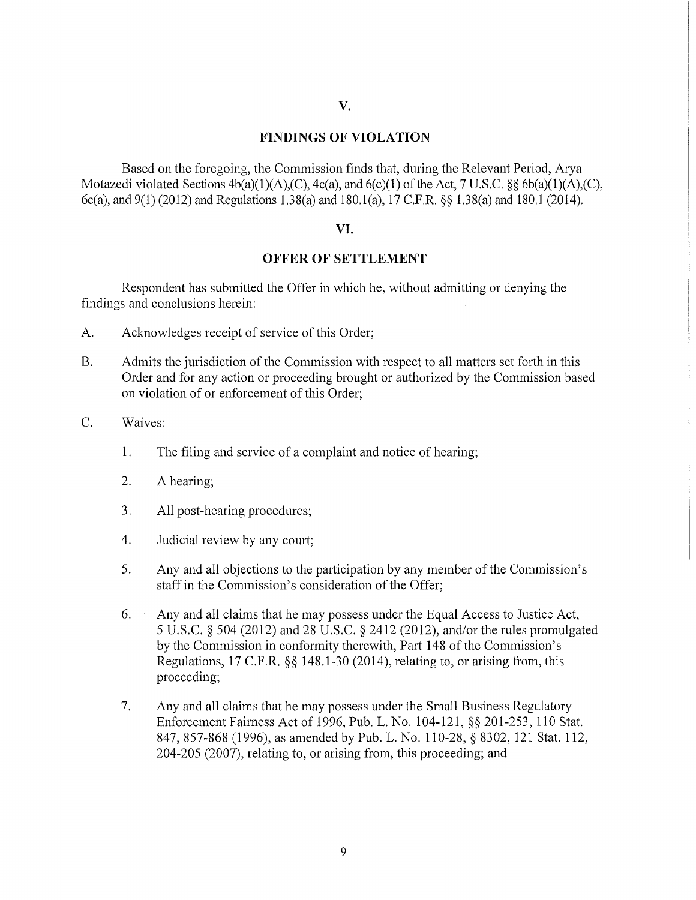### FINDINGS OF VIOLATION

Based on the foregoing, the Commission finds that, during the Relevant Period, Arya Motazedi violated Sections  $4b(a)(1)(A),(C), 4c(a)$ , and  $6(c)(1)$  of the Act, 7 U.S.C. §§  $6b(a)(1)(A),(C)$ , 6c(a), and 9(1) (2012) and Regulations 1.38(a) and 180.l(a), 17 C.F.R. §§ 1.38(a) and 180.1 (2014).

#### VI.

#### OFFER OF SETTLEMENT

Respondent has submitted the Offer in which he, without admitting or denying the findings and conclusions herein:

- A. Acknowledges receipt of service of this Order;
- B. Admits the jurisdiction of the Commission with respect to all matters set forth in this Order and for any action or proceeding brought or authorized by the Commission based on violation of or enforcement of this Order;
- C. Waives:
	- 1. The filing and service of a complaint and notice of hearing;
	- 2. A hearing;
	- 3. All post-hearing procedures;
	- 4. Judicial review by any court;
	- 5. Any and all objections to the participation by any member of the Commission's staff in the Commission's consideration of the Offer;
	- $6.$  Any and all claims that he may possess under the Equal Access to Justice Act, 5 U.S.C. § 504 (2012) and 28 U.S.C. § 2412 (2012), and/or the rules promulgated by the Commission in conformity therewith, Part 148 of the Commission's Regulations, 17 C.F.R. §§ 148.1-30 (2014), relating to, or arising from, this proceeding;
	- 7. Any and all claims that he may possess under the Small Business Regulatory Enforcement Fairness Act of 1996, Pub. L. No. 104-121, §§ 201-253, 110 Stat. 847, 857-868 (1996), as amended by Pub. L. No. 110-28, § 8302, 121 Stat. 112, 204-205 (2007), relating to, or arising from, this proceeding; and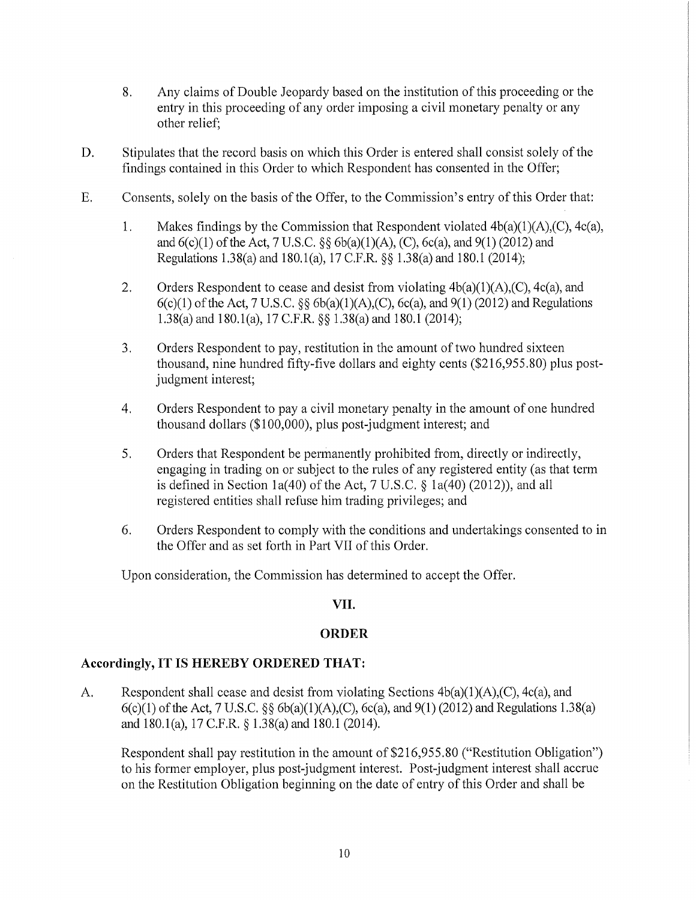- 8. Any claims of Double Jeopardy based on the institution of this proceeding or the entry in this proceeding of any order imposing a civil monetary penalty or any other relief;
- D. Stipulates that the record basis on which this Order is entered shall consist solely of the findings contained in this Order to which Respondent has consented in the Offer;
- E. Consents, solely on the basis of the Offer, to the Commission's entry of this Order that:
	- 1. Makes findings by the Commission that Respondent violated  $4b(a)(1)(A)(C)$ ,  $4c(a)$ , and  $6(c)(1)$  of the Act, 7 U.S.C. §§  $6b(a)(1)(A)$ , (C),  $6c(a)$ , and  $9(1)$  (2012) and Regulations 1.38(a) and 180.l(a), 17 C.F.R. §§ 1.38(a) and 180.l (2014);
	- 2. Orders Respondent to cease and desist from violating  $4b(a)(1)(A)(C)$ ,  $4c(a)$ , and  $6(c)(1)$  of the Act, 7 U.S.C. §§  $6b(a)(1)(A)$ , (C),  $6c(a)$ , and  $9(1)$  (2012) and Regulations 1.38(a) and 180.l(a), 17 C.F.R. §§ 1.38(a) and 180.1 (2014);
	- 3. Orders Respondent to pay, restitution in the amount of two hundred sixteen thousand, nine hundred fifty-five dollars and eighty cents (\$216,955.80) plus postjudgment interest;
	- 4. Orders Respondent to pay a civil monetary penalty in the amount of one hundred thousand dollars (\$100,000), plus post-judgment interest; and
	- 5. Orders that Respondent be permanently prohibited from, directly or indirectly, engaging in trading on or subject to the rules of any registered entity (as that term is defined in Section 1a(40) of the Act,  $7 \text{ U.S.C.}$  § 1a(40) (2012)), and all registered entities shall refuse him trading privileges; and
	- 6. Orders Respondent to comply with the conditions and undertakings consented to in the Offer and as set forth in Part VII of this Order.

Upon consideration, the Commission has determined to accept the Offer.

# VII.

## **ORDER**

## **Accordingly, IT IS HEREBY ORDERED THAT:**

A. Respondent shall cease and desist from violating Sections  $4b(a)(1)(A),(C)$ ,  $4c(a)$ , and  $6(c)(1)$  of the Act, 7 U.S.C. §§  $6b(a)(1)(A)$ , (C),  $6c(a)$ , and  $9(1)$  (2012) and Regulations 1.38(a) and 180.l(a), 17 C.F.R. § 1.38(a) and 180.1 (2014).

Respondent shall pay restitution in the amount of \$216,955.80 ("Restitution Obligation") to his former employer, plus post-judgment interest. Post-judgment interest shall accrue on the Restitution Obligation beginning on the date of entry of this Order and shall be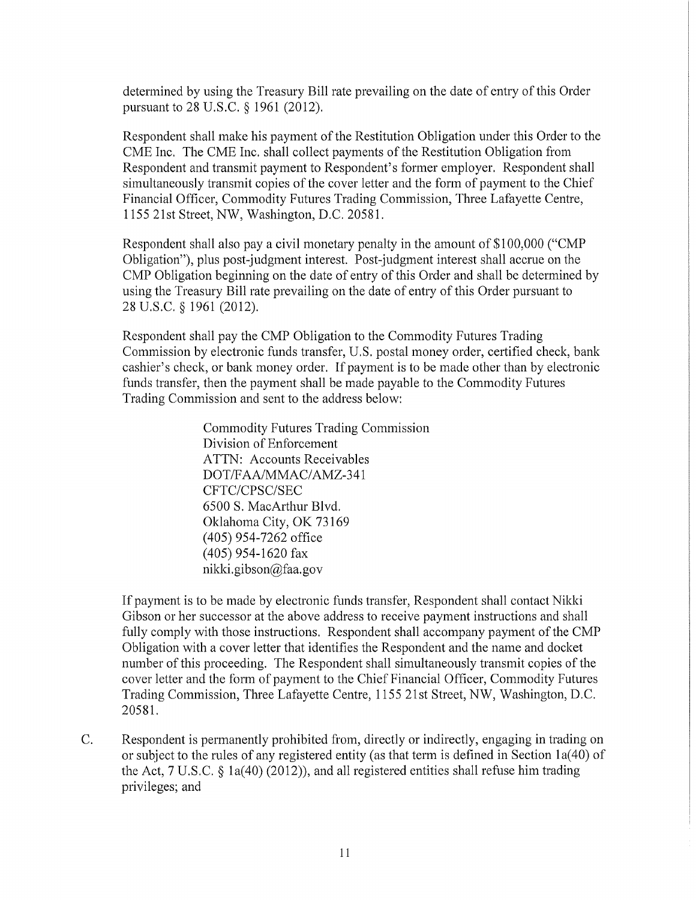determined by using the Treasury Bill rate prevailing on the date of entry of this Order pursuant to 28 U.S.C. § 1961 (2012).

Respondent shall make his payment of the Restitution Obligation under this Order to the CME Inc. The CME Inc. shall collect payments of the Restitution Obligation from Respondent and transmit payment to Respondent's former employer. Respondent shall simultaneously transmit copies of the cover letter and the form of payment to the Chief Financial Officer, Commodity Futures Trading Commission, Three Lafayette Centre, 1155 21st Street, NW, Washington, D.C. 20581.

Respondent shall also pay a civil monetary penalty in the amount of \$100,000 ("CMP Obligation"), plus post-judgment interest. Post-judgment interest shall accrue on the CMP Obligation beginning on the date of entry of this Order and shall be determined by using the Treasury Bill rate prevailing on the date of entry of this Order pursuant to 28 u.s.c. § 1961 (2012).

Respondent shall pay the CMP Obligation to the Commodity Futures Trading Commission by electronic funds transfer, U.S. postal money order, certified check, bank cashier's check, or bank money order. If payment is to be made other than by electronic funds transfer, then the payment shall be made payable to the Commodity Futures Trading Commission and sent to the address below:

> Commodity Futures Trading Commission Division of Enforcement ATTN: Accounts Receivables DOT/FAA/MMAC/AMZ-341 CFTC/CPSC/SEC 6500 S. MacArthur Blvd. Oklahoma City, OK 73169 (405) 954-7262 office (405) 954-1620 fax nikki.gibson@faa.gov

If payment is to be made by electronic funds transfer, Respondent shall contact Nikki Gibson or her successor at the above address to receive payment instructions and shall fully comply with those instructions. Respondent shall accompany payment of the CMP Obligation with a cover letter that identifies the Respondent and the name and docket number of this proceeding. The Respondent shall simultaneously transmit copies of the cover letter and the form of payment to the Chief Financial Officer, Commodity Futures Trading Commission, Three Lafayette Centre, 1155 21st Street, NW, Washington, D.C. 20581.

C. Respondent is permanently prohibited from, directly or indirectly, engaging in trading on or subject to the rules of any registered entity (as that term is defined in Section la(40) of the Act, 7 U.S.C. § la(40) (2012)), and all registered entities shall refuse him trading privileges; and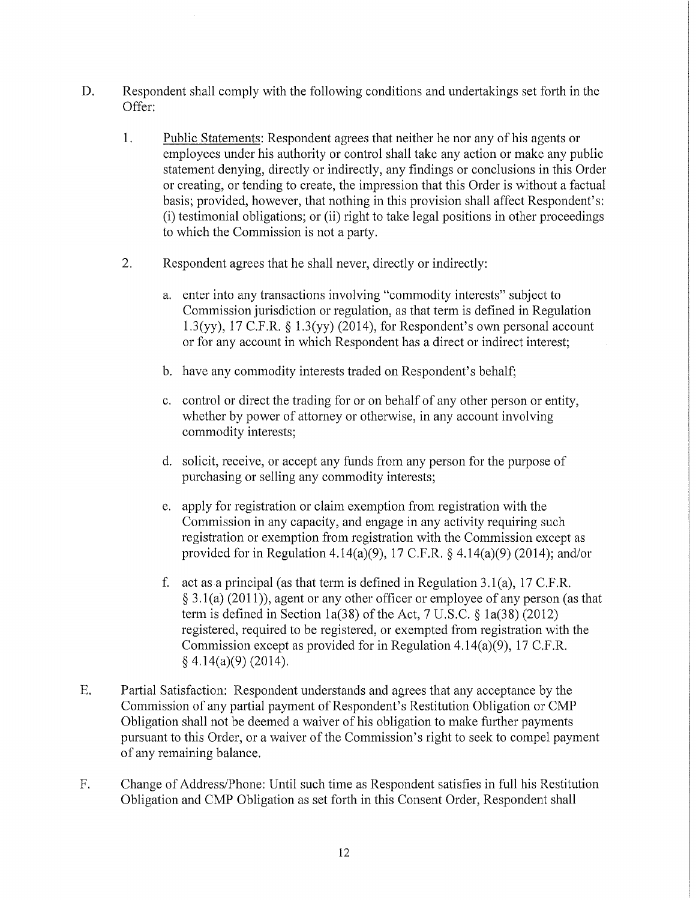- D. Respondent shall comply with the following conditions and undertakings set forth in the Offer:
	- 1. Public Statements: Respondent agrees that neither he nor any of his agents or employees under his authority or control shall take any action or make any public statement denying, directly or indirectly, any findings or conclusions in this Order or creating, or tending to create, the impression that this Order is without a factual basis; provided, however, that nothing in this provision shall affect Respondent's: (i) testimonial obligations; or (ii) right to take legal positions in other proceedings to which the Commission is not a party.
	- 2. Respondent agrees that he shall never, directly or indirectly:
		- a. enter into any transactions involving "commodity interests" subject to Commission jurisdiction or regulation, as that term is defined in Regulation 1.3(yy), 17 C.F.R.  $\S$  1.3(yy) (2014), for Respondent's own personal account or for any account in which Respondent has a direct or indirect interest;
		- b. have any commodity interests traded on Respondent's behalf;
		- c. control or direct the trading for or on behalf of any other person or entity, whether by power of attorney or otherwise, in any account involving commodity interests;
		- d. solicit, receive, or accept any funds from any person for the purpose of purchasing or selling any commodity interests;
		- e. apply for registration or claim exemption from registration with the Commission in any capacity, and engage in any activity requiring such registration or exemption from registration with the Commission except as provided for in Regulation 4.14(a)(9), 17 C.F.R. § 4.14(a)(9) (2014); and/or
		- f. act as a principal (as that term is defined in Regulation 3.1(a), 17 C.F.R. § 3 .1 (a) (2011) ), agent or any other officer or employee of any person (as that term is defined in Section 1a(38) of the Act, 7 U.S.C.  $\S$  1a(38) (2012) registered, required to be registered, or exempted from registration with the Commission except as provided for in Regulation 4.14(a)(9), 17 C.F.R.  $§$  4.14(a)(9) (2014).
- E. Partial Satisfaction: Respondent understands and agrees that any acceptance by the Commission of any partial payment of Respondent's Restitution Obligation or CMP Obligation shall not be deemed a waiver of his obligation to make further payments pursuant to this Order, or a waiver of the Commission's right to seek to compel payment of any remaining balance.
- F. Change of Address/Phone: Until such time as Respondent satisfies in full his Restitution Obligation and CMP Obligation as set forth in this Consent Order, Respondent shall